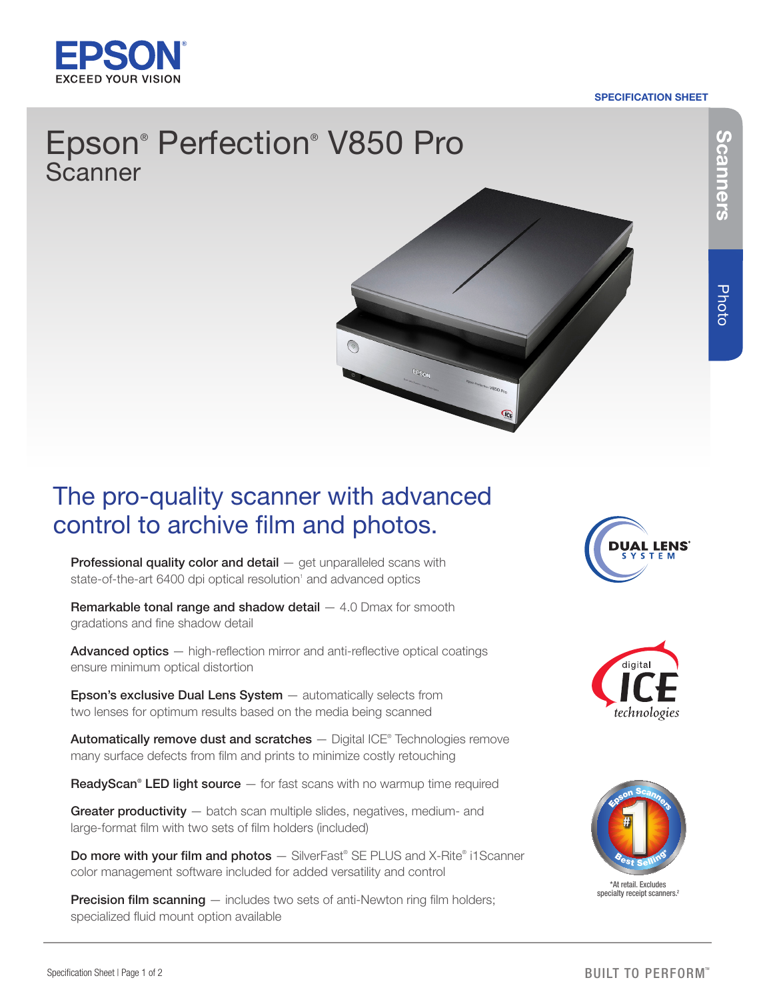

### SPECIFICATION SHEET

# Epson® Perfection® V850 Pro Scanner



## The pro-quality scanner with advanced control to archive film and photos.

**Professional quality color and detail**  $-$  get unparalleled scans with state-of-the-art 6400 dpi optical resolution<sup>1</sup> and advanced optics

**Remarkable tonal range and shadow detail**  $-4.0$  **Dmax for smooth** gradations and fine shadow detail

Advanced optics – high-reflection mirror and anti-reflective optical coatings ensure minimum optical distortion

Epson's exclusive Dual Lens System  $-$  automatically selects from two lenses for optimum results based on the media being scanned

Automatically remove dust and scratches - Digital ICE® Technologies remove many surface defects from film and prints to minimize costly retouching

ReadyScan® LED light source  $-$  for fast scans with no warmup time required

Greater productivity - batch scan multiple slides, negatives, medium- and large-format film with two sets of film holders (included)

Do more with your film and photos - SilverFast® SE PLUS and X-Rite® i1Scanner color management software included for added versatility and control

**Precision film scanning** — includes two sets of anti-Newton ring film holders; specialized fluid mount option available







\*At retail. Excludes specialty receipt scanners. 2 Scanners